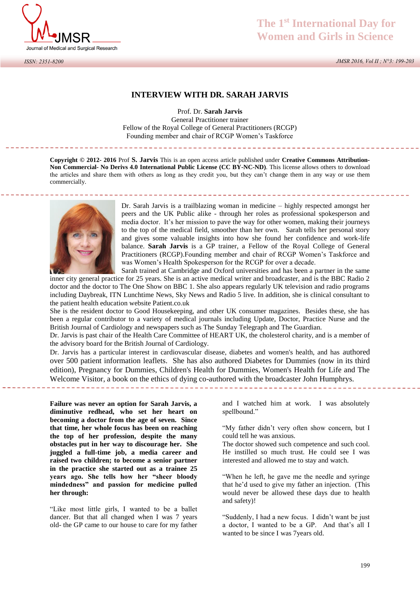

*ISSN: 2351-8200*

# **The 1st International Day for Women and Girls in Science**

*JMSR 2016, Vol II ; N°3: 199-203*

## **INTERVIEW WITH DR. SARAH JARVIS**

Prof. Dr. **Sarah Jarvis**  General Practitioner trainer Fellow of the Royal College of General Practitioners (RCGP) Founding member and chair of RCGP Women's Taskforce

**Copyright © 2012- 2016** Prof **S. Jarvis** This is an open access article published under **Creative Commons Attribution-Non Commercial- No Derivs 4.0 International Public License (CC BY-NC-ND)**. This license allows others to download the articles and share them with others as long as they credit you, but they can't change them in any way or use them commercially.

<u>. . . . . . . . . . . . . . . . . .</u>



Dr. Sarah Jarvis is a trailblazing woman in medicine – highly respected amongst her peers and the UK Public alike - through her roles as professional spokesperson and media doctor. It's her mission to pave the way for other women, making their journeys to the top of the medical field, smoother than her own. Sarah tells her personal story and gives some valuable insights into how she found her confidence and work-life balance. **Sarah Jarvis** is a GP trainer, a Fellow of the Royal College of General Practitioners (RCGP).Founding member and chair of RCGP Women's Taskforce and was Women's Health Spokesperson for the RCGP for over a decade.

Sarah trained at Cambridge and Oxford universities and has been a partner in the same inner city general practice for 25 years. She is an active medical writer and broadcaster, and is the BBC Radio 2 doctor and the doctor to The One Show on BBC 1. She also appears regularly UK television and radio programs including Daybreak, ITN Lunchtime News, Sky News and Radio 5 live. In addition, she is clinical consultant to the patient health education website Patient.co.uk

She is the resident doctor to Good Housekeeping, and other UK consumer magazines. Besides these, she has been a regular contributor to a variety of medical journals including Update, Doctor, Practice Nurse and the British Journal of Cardiology and newspapers such as The Sunday Telegraph and The Guardian.

Dr. Jarvis is past chair of the Health Care Committee of HEART UK, the cholesterol charity, and is a member of the advisory board for the British Journal of Cardiology.

Dr. Jarvis has a particular interest in cardiovascular disease, diabetes and women's health, and has authored over 500 patient information leaflets. She has also authored Diabetes for Dummies (now in its third edition), Pregnancy for Dummies, Children's Health for Dummies, Women's Health for Life and The Welcome Visitor, a book on the ethics of dying co-authored with the broadcaster John Humphrys. 

**Failure was never an option for Sarah Jarvis, a diminutive redhead, who set her heart on becoming a doctor from the age of seven. Since that time, her whole focus has been on reaching the top of her profession, despite the many obstacles put in her way to discourage her. She juggled a full-time job, a media career and raised two children; to become a senior partner in the practice she started out as a trainee 25 years ago. She tells how her "sheer bloody mindedness" and passion for medicine pulled her through:** 

"Like most little girls, I wanted to be a ballet dancer. But that all changed when I was 7 years old- the GP came to our house to care for my father

and I watched him at work. I was absolutely spellbound."

"My father didn't very often show concern, but I could tell he was anxious.

The doctor showed such competence and such cool. He instilled so much trust. He could see I was interested and allowed me to stay and watch.

"When he left, he gave me the needle and syringe that he'd used to give my father an injection. (This would never be allowed these days due to health and safety)!

"Suddenly, I had a new focus. I didn't want be just a doctor, I wanted to be a GP. And that's all I wanted to be since I was 7years old.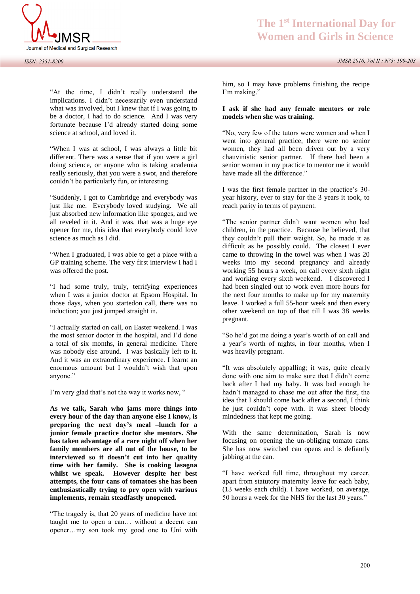

"At the time, I didn't really understand the implications. I didn't necessarily even understand what was involved, but I knew that if I was going to be a doctor, I had to do science. And I was very fortunate because I'd already started doing some science at school, and loved it.

"When I was at school, I was always a little bit different. There was a sense that if you were a girl doing science, or anyone who is taking academia really seriously, that you were a swot, and therefore couldn't be particularly fun, or interesting.

"Suddenly, I got to Cambridge and everybody was just like me. Everybody loved studying. We all just absorbed new information like sponges, and we all reveled in it. And it was, that was a huge eye opener for me, this idea that everybody could love science as much as I did.

"When I graduated, I was able to get a place with a GP training scheme. The very first interview I had I was offered the post.

"I had some truly, truly, terrifying experiences when I was a junior doctor at Epsom Hospital. In those days, when you startedon call, there was no induction; you just jumped straight in.

"I actually started on call, on Easter weekend. I was the most senior doctor in the hospital, and I'd done a total of six months, in general medicine. There was nobody else around. I was basically left to it. And it was an extraordinary experience. I learnt an enormous amount but I wouldn't wish that upon anyone."

I'm very glad that's not the way it works now, "

**As we talk, Sarah who jams more things into every hour of the day than anyone else I know, is preparing the next day's meal –lunch for a junior female practice doctor she mentors. She has taken advantage of a rare night off when her family members are all out of the house, to be interviewed so it doesn't cut into her quality time with her family. She is cooking lasagna whilst we speak. However despite her best attempts, the four cans of tomatoes she has been enthusiastically trying to pry open with various implements, remain steadfastly unopened.** 

"The tragedy is, that 20 years of medicine have not taught me to open a can… without a decent can opener…my son took my good one to Uni with

him, so I may have problems finishing the recipe I'm making."

#### **I ask if she had any female mentors or role models when she was training.**

"No, very few of the tutors were women and when I went into general practice, there were no senior women, they had all been driven out by a very chauvinistic senior partner. If there had been a senior woman in my practice to mentor me it would have made all the difference."

I was the first female partner in the practice's 30 year history, ever to stay for the 3 years it took, to reach parity in terms of payment.

"The senior partner didn't want women who had children, in the practice. Because he believed, that they couldn't pull their weight. So, he made it as difficult as he possibly could. The closest I ever came to throwing in the towel was when I was 20 weeks into my second pregnancy and already working 55 hours a week, on call every sixth night and working every sixth weekend. I discovered I had been singled out to work even more hours for the next four months to make up for my maternity leave. I worked a full 55-hour week and then every other weekend on top of that till I was 38 weeks pregnant.

"So he'd got me doing a year's worth of on call and a year's worth of nights, in four months, when I was heavily pregnant.

"It was absolutely appalling; it was, quite clearly done with one aim to make sure that I didn't come back after I had my baby. It was bad enough he hadn't managed to chase me out after the first, the idea that I should come back after a second, I think he just couldn't cope with. It was sheer bloody mindedness that kept me going.

With the same determination, Sarah is now focusing on opening the un-obliging tomato cans. She has now switched can opens and is defiantly jabbing at the can.

"I have worked full time, throughout my career, apart from statutory maternity leave for each baby, (13 weeks each child). I have worked, on average, 50 hours a week for the NHS for the last 30 years."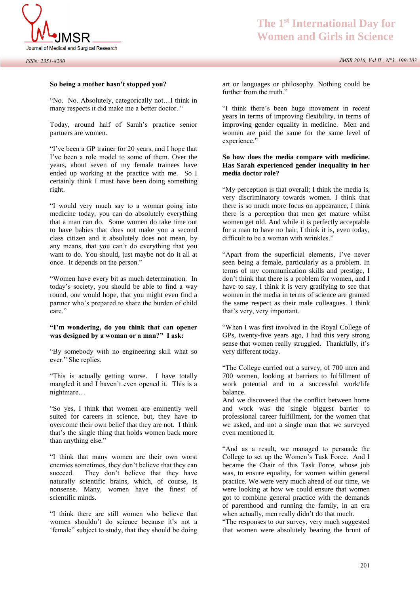

### **So being a mother hasn't stopped you?**

"No. No. Absolutely, categorically not…I think in many respects it did make me a better doctor. "

Today, around half of Sarah's practice senior partners are women.

"I've been a GP trainer for 20 years, and I hope that I've been a role model to some of them. Over the years, about seven of my female trainees have ended up working at the practice with me. So I certainly think I must have been doing something right.

"I would very much say to a woman going into medicine today, you can do absolutely everything that a man can do. Some women do take time out to have babies that does not make you a second class citizen and it absolutely does not mean, by any means, that you can't do everything that you want to do. You should, just maybe not do it all at once. It depends on the person."

"Women have every bit as much determination. In today's society, you should be able to find a way round, one would hope, that you might even find a partner who's prepared to share the burden of child care."

#### **"I'm wondering, do you think that can opener was designed by a woman or a man?" I ask:**

"By somebody with no engineering skill what so ever." She replies.

"This is actually getting worse. I have totally mangled it and I haven't even opened it. This is a nightmare…

"So yes, I think that women are eminently well suited for careers in science, but, they have to overcome their own belief that they are not. I think that's the single thing that holds women back more than anything else."

"I think that many women are their own worst enemies sometimes, they don't believe that they can succeed. They don't believe that they have naturally scientific brains, which, of course, is nonsense. Many, women have the finest of scientific minds.

"I think there are still women who believe that women shouldn't do science because it's not a 'female" subject to study, that they should be doing

art or languages or philosophy. Nothing could be further from the truth."

"I think there's been huge movement in recent years in terms of improving flexibility, in terms of improving gender equality in medicine. Men and women are paid the same for the same level of experience."

### **So how does the media compare with medicine. Has Sarah experienced gender inequality in her media doctor role?**

"My perception is that overall; I think the media is, very discriminatory towards women. I think that there is so much more focus on appearance, I think there is a perception that men get mature whilst women get old. And while it is perfectly acceptable for a man to have no hair, I think it is, even today, difficult to be a woman with wrinkles."

"Apart from the superficial elements, I've never seen being a female, particularly as a problem. In terms of my communication skills and prestige, I don't think that there is a problem for women, and I have to say, I think it is very gratifying to see that women in the media in terms of science are granted the same respect as their male colleagues. I think that's very, very important.

"When I was first involved in the Royal College of GPs, twenty-five years ago, I had this very strong sense that women really struggled. Thankfully, it's very different today.

"The College carried out a survey, of 700 men and 700 women, looking at barriers to fulfillment of work potential and to a successful work/life balance.

And we discovered that the conflict between home and work was the single biggest barrier to professional career fulfillment, for the women that we asked, and not a single man that we surveyed even mentioned it.

"And as a result, we managed to persuade the College to set up the Women's Task Force. And I became the Chair of this Task Force, whose job was, to ensure equality, for women within general practice. We were very much ahead of our time, we were looking at how we could ensure that women got to combine general practice with the demands of parenthood and running the family, in an era when actually, men really didn't do that much.

"The responses to our survey, very much suggested that women were absolutely bearing the brunt of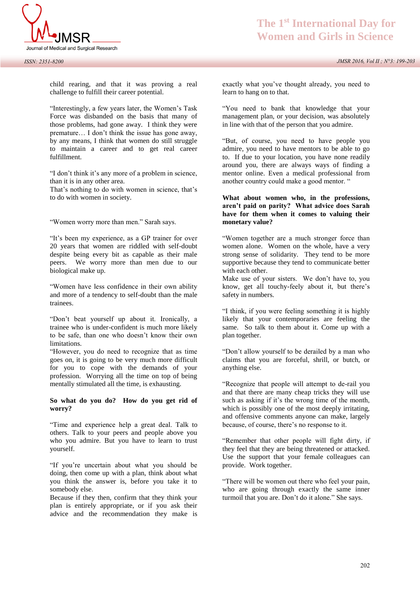

**The 1st International Day for Women and Girls in Science**

child rearing, and that it was proving a real challenge to fulfill their career potential.

"Interestingly, a few years later, the Women's Task Force was disbanded on the basis that many of those problems, had gone away. I think they were premature… I don't think the issue has gone away, by any means, I think that women do still struggle to maintain a career and to get real career fulfillment.

"I don't think it's any more of a problem in science, than it is in any other area.

That's nothing to do with women in science, that's to do with women in society.

"Women worry more than men." Sarah says.

"It's been my experience, as a GP trainer for over 20 years that women are riddled with self-doubt despite being every bit as capable as their male peers. We worry more than men due to our biological make up.

"Women have less confidence in their own ability and more of a tendency to self-doubt than the male trainees.

"Don't beat yourself up about it. Ironically, a trainee who is under-confident is much more likely to be safe, than one who doesn't know their own limitations.

"However, you do need to recognize that as time goes on, it is going to be very much more difficult for you to cope with the demands of your profession. Worrying all the time on top of being mentally stimulated all the time, is exhausting.

#### **So what do you do? How do you get rid of worry?**

"Time and experience help a great deal. Talk to others. Talk to your peers and people above you who you admire. But you have to learn to trust yourself.

"If you're uncertain about what you should be doing, then come up with a plan, think about what you think the answer is, before you take it to somebody else.

Because if they then, confirm that they think your plan is entirely appropriate, or if you ask their advice and the recommendation they make is

exactly what you've thought already, you need to learn to hang on to that.

"You need to bank that knowledge that your management plan, or your decision, was absolutely in line with that of the person that you admire.

"But, of course, you need to have people you admire, you need to have mentors to be able to go to. If due to your location, you have none readily around you, there are always ways of finding a mentor online. Even a medical professional from another country could make a good mentor. "

### **What about women who, in the professions, aren't paid on parity? What advice does Sarah have for them when it comes to valuing their monetary value?**

"Women together are a much stronger force than women alone. Women on the whole, have a very strong sense of solidarity. They tend to be more supportive because they tend to communicate better with each other.

Make use of your sisters. We don't have to, you know, get all touchy-feely about it, but there's safety in numbers.

"I think, if you were feeling something it is highly likely that your contemporaries are feeling the same. So talk to them about it. Come up with a plan together.

"Don't allow yourself to be derailed by a man who claims that you are forceful, shrill, or butch, or anything else.

"Recognize that people will attempt to de-rail you and that there are many cheap tricks they will use such as asking if it's the wrong time of the month, which is possibly one of the most deeply irritating, and offensive comments anyone can make, largely because, of course, there's no response to it.

"Remember that other people will fight dirty, if they feel that they are being threatened or attacked. Use the support that your female colleagues can provide. Work together.

"There will be women out there who feel your pain, who are going through exactly the same inner turmoil that you are. Don't do it alone." She says.